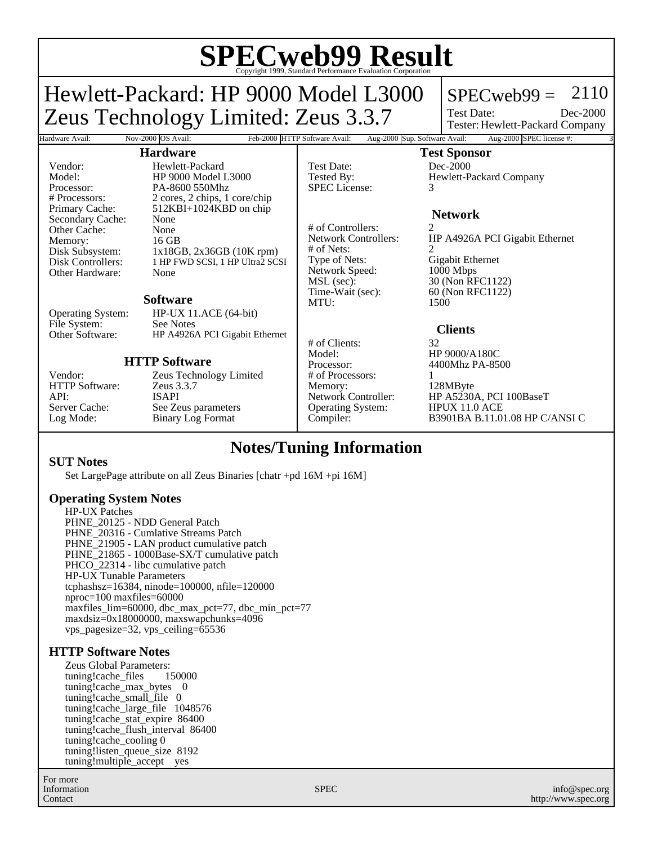# **SPECweb99 Result** Copyright 1999, Standard Performance Evaluation Corporation

Hardware Avail: Nov-2000 OS Avail: Feb-2000 HTTP Software Avail: Aug-2000 Sup. Software Avail: Aug-2000 SPEC license #:

Hewlett-Packard: HP 9000 Model L3000 Zeus Technology Limited: Zeus 3.3.7

# $SPECweb99 = 2110$

Test Date: Tester: Hewlett-Packard Company Dec-2000

## **Hardware**

Vendor: Hewlett-Packard<br>Model: HP 9000 Model I Model: HP 9000 Model L3000 Processor: PA-8600 550Mhz<br># Processors: 2 cores. 2 chips. 1 2 cores, 2 chips, 1 core/chip Primary Cache: 512KBI+1024KBD on chip Secondary Cache: None Other Cache: None<br>Memory: 16 GB Disk Subsystem:  $1x18GB, 2x36GB (10K rpm)$ <br>Disk Controllers: 1 HP FWD SCSI, 1 HP Ultra2 SC 1 HP FWD SCSI, 1 HP Ultra2 SCSI Other Hardware: None

#### **Software**

Operating System: HP-UX 11.ACE (64-bit) File System: See Notes<br>Other Software: HP A4926 HP A4926A PCI Gigabit Ethernet

# **HTTP Software**

HTTP Software: API: ISAPI

Memory:<br>Disk Subsystem:

Vendor: Zeus Technology Limited<br>
HTTP Software: Zeus 3.3.7 Server Cache: See Zeus parameters<br>
Log Mode: Binary Log Format Binary Log Format

Test Date: Dec-2000 SPEC License: 3

# of Controllers: 2 # of Nets:<br>Type of Nets: Network Speed:<br>MSL (sec): MSL (sec): 30 (Non RFC1122)<br>Time-Wait (sec): 60 (Non RFC1122) MTU: 1500

# of Clients: 32 Model: HP 9000/A180C<br>Processor: 4400Mhz PA-85 # of Processors: 1 Memory: 128MByte<br>Network Controller: HP A5230/ Operating System:

**Test Sponsor** Tested By: Hewlett-Packard Company

# **Network**

HP A4926A PCI Gigabit Ethernet Gigabit Ethernet<br>1000 Mbps 60 (Non RFC1122)

# **Clients**

4400Mhz PA-8500

HP A5230A, PCI 100BaseT<br>HPUX 11.0 ACE Compiler: B3901BA B.11.01.08 HP C/ANSI C

# **Notes/Tuning Information**

### **SUT Notes**

Set LargePage attribute on all Zeus Binaries [chatr +pd 16M +pi 16M]

# **Operating System Notes**

HP-UX Patches PHNE\_20125 - NDD General Patch PHNE\_20316 - Cumlative Streams Patch PHNE 21905 - LAN product cumulative patch PHNE 21865 - 1000Base-SX/T cumulative patch PHCO\_22314 - libc cumulative patch HP-UX Tunable Parameters tcphashsz=16384, ninode=100000, nfile=120000 nproc=100 maxfiles=60000 maxfiles\_lim=60000, dbc\_max\_pct=77, dbc\_min\_pct=77 maxdsiz=0x18000000, maxswapchunks=4096 vps\_pagesize=32, vps\_ceiling=65536

### **HTTP Software Notes**

Zeus Global Parameters:<br>tuning!cache files 150000 tuning!cache\_files tuning!cache\_max\_bytes 0 tuning!cache\_small\_file 0 tuning!cache\_large\_file 1048576 tuning!cache\_stat\_expire 86400 tuning!cache\_flush\_interval 86400 tuning!cache\_cooling 0 tuning!listen\_queue\_size 8192 tuning!multiple\_accept yes

For more Information Contact